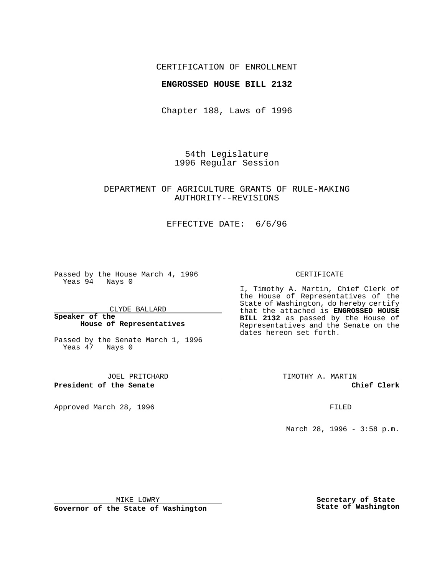## CERTIFICATION OF ENROLLMENT

### **ENGROSSED HOUSE BILL 2132**

Chapter 188, Laws of 1996

54th Legislature 1996 Regular Session

## DEPARTMENT OF AGRICULTURE GRANTS OF RULE-MAKING AUTHORITY--REVISIONS

## EFFECTIVE DATE: 6/6/96

Passed by the House March 4, 1996 Yeas 94 Nays 0

CLYDE BALLARD

#### **Speaker of the House of Representatives**

Passed by the Senate March 1, 1996 Yeas 47 Nays 0

JOEL PRITCHARD

**President of the Senate**

Approved March 28, 1996 FILED

### CERTIFICATE

I, Timothy A. Martin, Chief Clerk of the House of Representatives of the State of Washington, do hereby certify that the attached is **ENGROSSED HOUSE BILL 2132** as passed by the House of Representatives and the Senate on the dates hereon set forth.

TIMOTHY A. MARTIN

**Chief Clerk**

March 28, 1996 - 3:58 p.m.

MIKE LOWRY

**Governor of the State of Washington**

**Secretary of State State of Washington**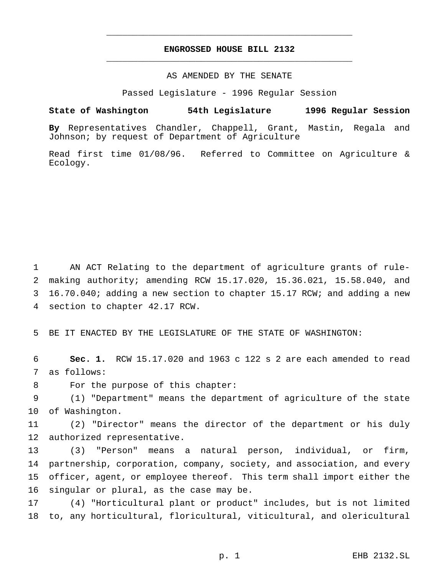# **ENGROSSED HOUSE BILL 2132** \_\_\_\_\_\_\_\_\_\_\_\_\_\_\_\_\_\_\_\_\_\_\_\_\_\_\_\_\_\_\_\_\_\_\_\_\_\_\_\_\_\_\_\_\_\_\_

\_\_\_\_\_\_\_\_\_\_\_\_\_\_\_\_\_\_\_\_\_\_\_\_\_\_\_\_\_\_\_\_\_\_\_\_\_\_\_\_\_\_\_\_\_\_\_

### AS AMENDED BY THE SENATE

Passed Legislature - 1996 Regular Session

#### **State of Washington 54th Legislature 1996 Regular Session**

**By** Representatives Chandler, Chappell, Grant, Mastin, Regala and Johnson; by request of Department of Agriculture

Read first time 01/08/96. Referred to Committee on Agriculture & Ecology.

 AN ACT Relating to the department of agriculture grants of rule- making authority; amending RCW 15.17.020, 15.36.021, 15.58.040, and 16.70.040; adding a new section to chapter 15.17 RCW; and adding a new section to chapter 42.17 RCW.

BE IT ENACTED BY THE LEGISLATURE OF THE STATE OF WASHINGTON:

 **Sec. 1.** RCW 15.17.020 and 1963 c 122 s 2 are each amended to read as follows:

For the purpose of this chapter:

 (1) "Department" means the department of agriculture of the state of Washington.

 (2) "Director" means the director of the department or his duly authorized representative.

 (3) "Person" means a natural person, individual, or firm, partnership, corporation, company, society, and association, and every officer, agent, or employee thereof. This term shall import either the singular or plural, as the case may be.

 (4) "Horticultural plant or product" includes, but is not limited to, any horticultural, floricultural, viticultural, and olericultural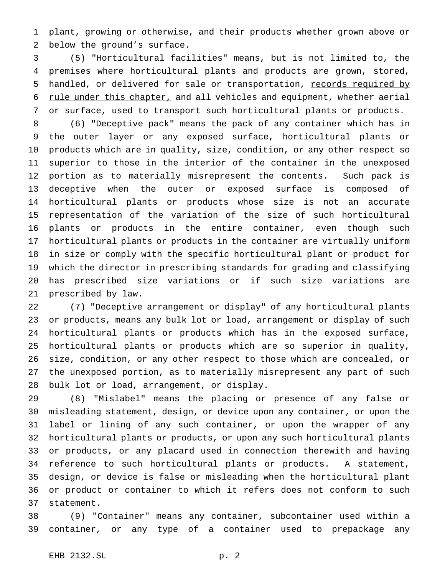plant, growing or otherwise, and their products whether grown above or below the ground's surface.

 (5) "Horticultural facilities" means, but is not limited to, the premises where horticultural plants and products are grown, stored, 5 handled, or delivered for sale or transportation, records required by 6 rule under this chapter, and all vehicles and equipment, whether aerial or surface, used to transport such horticultural plants or products.

 (6) "Deceptive pack" means the pack of any container which has in the outer layer or any exposed surface, horticultural plants or products which are in quality, size, condition, or any other respect so superior to those in the interior of the container in the unexposed portion as to materially misrepresent the contents. Such pack is deceptive when the outer or exposed surface is composed of horticultural plants or products whose size is not an accurate representation of the variation of the size of such horticultural plants or products in the entire container, even though such horticultural plants or products in the container are virtually uniform in size or comply with the specific horticultural plant or product for which the director in prescribing standards for grading and classifying has prescribed size variations or if such size variations are prescribed by law.

 (7) "Deceptive arrangement or display" of any horticultural plants or products, means any bulk lot or load, arrangement or display of such horticultural plants or products which has in the exposed surface, horticultural plants or products which are so superior in quality, size, condition, or any other respect to those which are concealed, or the unexposed portion, as to materially misrepresent any part of such bulk lot or load, arrangement, or display.

 (8) "Mislabel" means the placing or presence of any false or misleading statement, design, or device upon any container, or upon the label or lining of any such container, or upon the wrapper of any horticultural plants or products, or upon any such horticultural plants or products, or any placard used in connection therewith and having reference to such horticultural plants or products. A statement, design, or device is false or misleading when the horticultural plant or product or container to which it refers does not conform to such statement.

 (9) "Container" means any container, subcontainer used within a container, or any type of a container used to prepackage any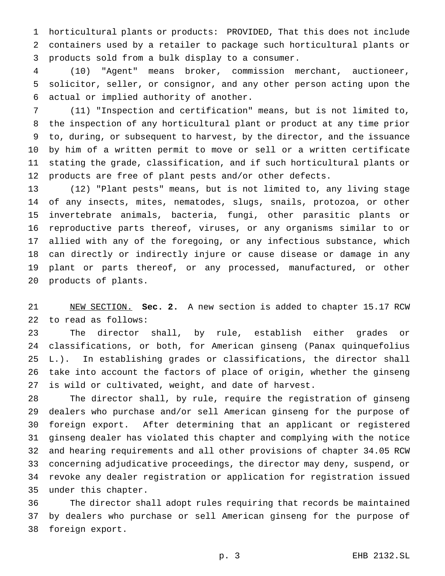horticultural plants or products: PROVIDED, That this does not include containers used by a retailer to package such horticultural plants or products sold from a bulk display to a consumer.

 (10) "Agent" means broker, commission merchant, auctioneer, solicitor, seller, or consignor, and any other person acting upon the actual or implied authority of another.

 (11) "Inspection and certification" means, but is not limited to, the inspection of any horticultural plant or product at any time prior to, during, or subsequent to harvest, by the director, and the issuance by him of a written permit to move or sell or a written certificate stating the grade, classification, and if such horticultural plants or products are free of plant pests and/or other defects.

 (12) "Plant pests" means, but is not limited to, any living stage of any insects, mites, nematodes, slugs, snails, protozoa, or other invertebrate animals, bacteria, fungi, other parasitic plants or reproductive parts thereof, viruses, or any organisms similar to or allied with any of the foregoing, or any infectious substance, which can directly or indirectly injure or cause disease or damage in any plant or parts thereof, or any processed, manufactured, or other products of plants.

 NEW SECTION. **Sec. 2.** A new section is added to chapter 15.17 RCW to read as follows:

 The director shall, by rule, establish either grades or classifications, or both, for American ginseng (Panax quinquefolius L.). In establishing grades or classifications, the director shall take into account the factors of place of origin, whether the ginseng is wild or cultivated, weight, and date of harvest.

 The director shall, by rule, require the registration of ginseng dealers who purchase and/or sell American ginseng for the purpose of foreign export. After determining that an applicant or registered ginseng dealer has violated this chapter and complying with the notice and hearing requirements and all other provisions of chapter 34.05 RCW concerning adjudicative proceedings, the director may deny, suspend, or revoke any dealer registration or application for registration issued under this chapter.

 The director shall adopt rules requiring that records be maintained by dealers who purchase or sell American ginseng for the purpose of foreign export.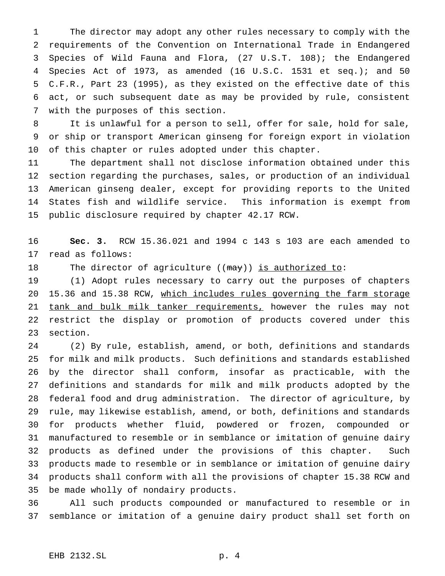The director may adopt any other rules necessary to comply with the requirements of the Convention on International Trade in Endangered Species of Wild Fauna and Flora, (27 U.S.T. 108); the Endangered Species Act of 1973, as amended (16 U.S.C. 1531 et seq.); and 50 C.F.R., Part 23 (1995), as they existed on the effective date of this act, or such subsequent date as may be provided by rule, consistent with the purposes of this section.

 It is unlawful for a person to sell, offer for sale, hold for sale, or ship or transport American ginseng for foreign export in violation of this chapter or rules adopted under this chapter.

 The department shall not disclose information obtained under this section regarding the purchases, sales, or production of an individual American ginseng dealer, except for providing reports to the United States fish and wildlife service. This information is exempt from public disclosure required by chapter 42.17 RCW.

 **Sec. 3.** RCW 15.36.021 and 1994 c 143 s 103 are each amended to read as follows:

18 The director of agriculture ((may)) is authorized to:

 (1) Adopt rules necessary to carry out the purposes of chapters 15.36 and 15.38 RCW, which includes rules governing the farm storage 21 tank and bulk milk tanker requirements, however the rules may not restrict the display or promotion of products covered under this section.

 (2) By rule, establish, amend, or both, definitions and standards for milk and milk products. Such definitions and standards established by the director shall conform, insofar as practicable, with the definitions and standards for milk and milk products adopted by the federal food and drug administration. The director of agriculture, by rule, may likewise establish, amend, or both, definitions and standards for products whether fluid, powdered or frozen, compounded or manufactured to resemble or in semblance or imitation of genuine dairy products as defined under the provisions of this chapter. Such products made to resemble or in semblance or imitation of genuine dairy products shall conform with all the provisions of chapter 15.38 RCW and be made wholly of nondairy products.

 All such products compounded or manufactured to resemble or in semblance or imitation of a genuine dairy product shall set forth on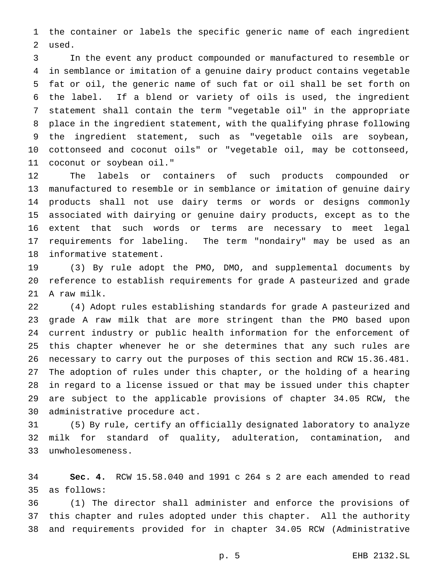the container or labels the specific generic name of each ingredient used.

 In the event any product compounded or manufactured to resemble or in semblance or imitation of a genuine dairy product contains vegetable fat or oil, the generic name of such fat or oil shall be set forth on the label. If a blend or variety of oils is used, the ingredient statement shall contain the term "vegetable oil" in the appropriate place in the ingredient statement, with the qualifying phrase following the ingredient statement, such as "vegetable oils are soybean, cottonseed and coconut oils" or "vegetable oil, may be cottonseed, coconut or soybean oil."

 The labels or containers of such products compounded or manufactured to resemble or in semblance or imitation of genuine dairy products shall not use dairy terms or words or designs commonly associated with dairying or genuine dairy products, except as to the extent that such words or terms are necessary to meet legal requirements for labeling. The term "nondairy" may be used as an informative statement.

 (3) By rule adopt the PMO, DMO, and supplemental documents by reference to establish requirements for grade A pasteurized and grade A raw milk.

 (4) Adopt rules establishing standards for grade A pasteurized and grade A raw milk that are more stringent than the PMO based upon current industry or public health information for the enforcement of this chapter whenever he or she determines that any such rules are necessary to carry out the purposes of this section and RCW 15.36.481. The adoption of rules under this chapter, or the holding of a hearing in regard to a license issued or that may be issued under this chapter are subject to the applicable provisions of chapter 34.05 RCW, the administrative procedure act.

 (5) By rule, certify an officially designated laboratory to analyze milk for standard of quality, adulteration, contamination, and unwholesomeness.

 **Sec. 4.** RCW 15.58.040 and 1991 c 264 s 2 are each amended to read as follows:

 (1) The director shall administer and enforce the provisions of this chapter and rules adopted under this chapter. All the authority and requirements provided for in chapter 34.05 RCW (Administrative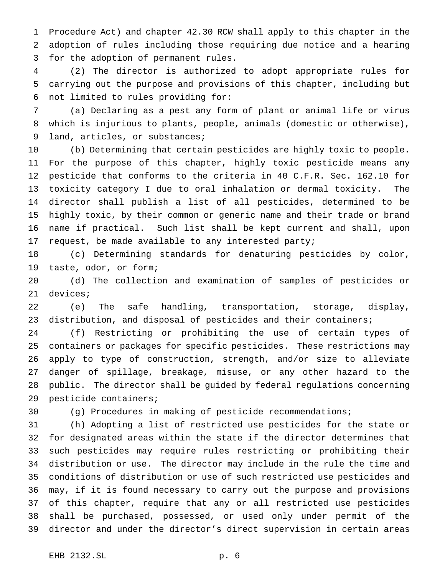Procedure Act) and chapter 42.30 RCW shall apply to this chapter in the adoption of rules including those requiring due notice and a hearing for the adoption of permanent rules.

 (2) The director is authorized to adopt appropriate rules for carrying out the purpose and provisions of this chapter, including but not limited to rules providing for:

 (a) Declaring as a pest any form of plant or animal life or virus which is injurious to plants, people, animals (domestic or otherwise), land, articles, or substances;

 (b) Determining that certain pesticides are highly toxic to people. For the purpose of this chapter, highly toxic pesticide means any pesticide that conforms to the criteria in 40 C.F.R. Sec. 162.10 for toxicity category I due to oral inhalation or dermal toxicity. The director shall publish a list of all pesticides, determined to be highly toxic, by their common or generic name and their trade or brand name if practical. Such list shall be kept current and shall, upon request, be made available to any interested party;

 (c) Determining standards for denaturing pesticides by color, taste, odor, or form;

 (d) The collection and examination of samples of pesticides or devices;

 (e) The safe handling, transportation, storage, display, distribution, and disposal of pesticides and their containers;

 (f) Restricting or prohibiting the use of certain types of containers or packages for specific pesticides. These restrictions may apply to type of construction, strength, and/or size to alleviate danger of spillage, breakage, misuse, or any other hazard to the public. The director shall be guided by federal regulations concerning pesticide containers;

(g) Procedures in making of pesticide recommendations;

 (h) Adopting a list of restricted use pesticides for the state or for designated areas within the state if the director determines that such pesticides may require rules restricting or prohibiting their distribution or use. The director may include in the rule the time and conditions of distribution or use of such restricted use pesticides and may, if it is found necessary to carry out the purpose and provisions of this chapter, require that any or all restricted use pesticides shall be purchased, possessed, or used only under permit of the director and under the director's direct supervision in certain areas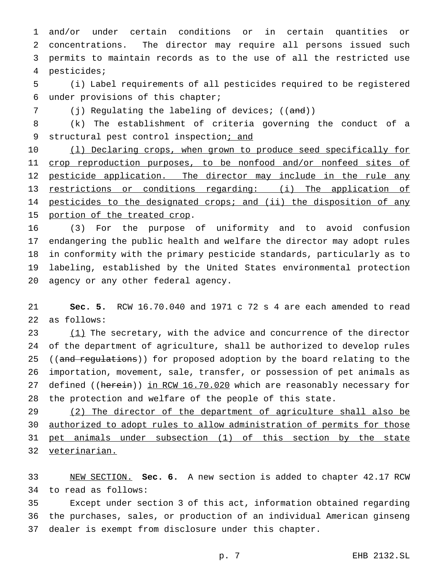and/or under certain conditions or in certain quantities or concentrations. The director may require all persons issued such permits to maintain records as to the use of all the restricted use pesticides;

 (i) Label requirements of all pesticides required to be registered under provisions of this chapter;

7 (j) Regulating the labeling of devices; ((and))

 (k) The establishment of criteria governing the conduct of a 9 structural pest control inspection; and

10 (1) Declaring crops, when grown to produce seed specifically for 11 crop reproduction purposes, to be nonfood and/or nonfeed sites of 12 pesticide application. The director may include in the rule any restrictions or conditions regarding: (i) The application of 14 pesticides to the designated crops; and (ii) the disposition of any 15 portion of the treated crop.

 (3) For the purpose of uniformity and to avoid confusion endangering the public health and welfare the director may adopt rules in conformity with the primary pesticide standards, particularly as to labeling, established by the United States environmental protection agency or any other federal agency.

 **Sec. 5.** RCW 16.70.040 and 1971 c 72 s 4 are each amended to read as follows:

 (1) The secretary, with the advice and concurrence of the director of the department of agriculture, shall be authorized to develop rules 25 ((and regulations)) for proposed adoption by the board relating to the importation, movement, sale, transfer, or possession of pet animals as 27 defined ((herein)) in RCW 16.70.020 which are reasonably necessary for the protection and welfare of the people of this state.

29 (2) The director of the department of agriculture shall also be authorized to adopt rules to allow administration of permits for those pet animals under subsection (1) of this section by the state veterinarian.

 NEW SECTION. **Sec. 6.** A new section is added to chapter 42.17 RCW to read as follows:

 Except under section 3 of this act, information obtained regarding the purchases, sales, or production of an individual American ginseng dealer is exempt from disclosure under this chapter.